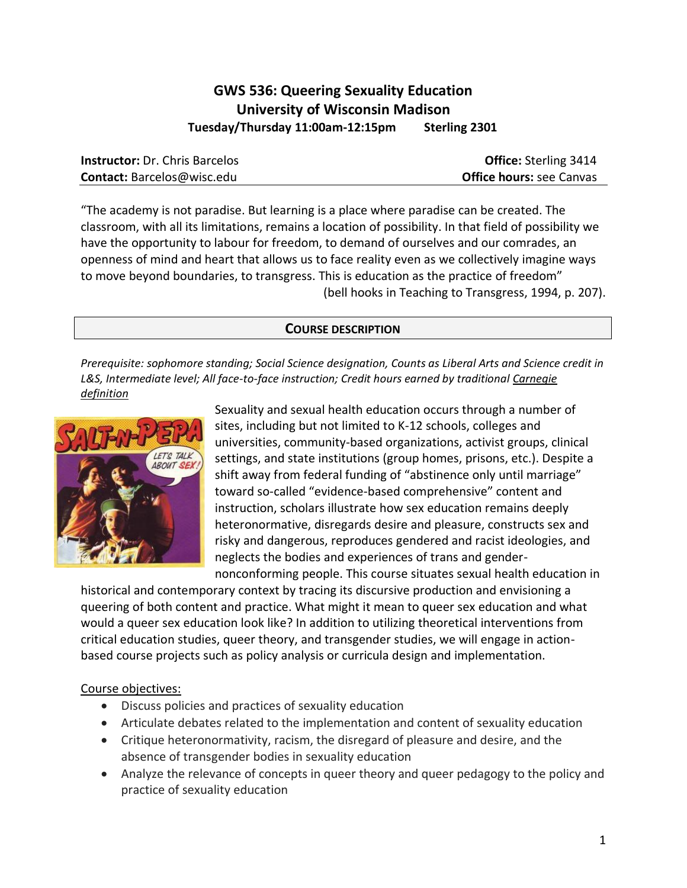# **GWS 536: Queering Sexuality Education University of Wisconsin Madison Tuesday/Thursday 11:00am-12:15pm Sterling 2301**

| <b>Instructor:</b> Dr. Chris Barcelos | <b>Office:</b> Sterling 3414    |
|---------------------------------------|---------------------------------|
| <b>Contact:</b> Barcelos@wisc.edu     | <b>Office hours: see Canvas</b> |

"The academy is not paradise. But learning is a place where paradise can be created. The classroom, with all its limitations, remains a location of possibility. In that field of possibility we have the opportunity to labour for freedom, to demand of ourselves and our comrades, an openness of mind and heart that allows us to face reality even as we collectively imagine ways to move beyond boundaries, to transgress. This is education as the practice of freedom" (bell hooks in Teaching to Transgress, 1994, p. 207).

### **COURSE DESCRIPTION**

*Prerequisite: sophomore standing; Social Science designation, Counts as Liberal Arts and Science credit in L&S, Intermediate level; All face-to-face instruction; Credit hours earned by traditiona[l Carnegie](https://kb.wisc.edu/vesta/page.php?id=24558)  [definition](https://kb.wisc.edu/vesta/page.php?id=24558)*



Sexuality and sexual health education occurs through a number of sites, including but not limited to K-12 schools, colleges and universities, community-based organizations, activist groups, clinical settings, and state institutions (group homes, prisons, etc.). Despite a shift away from federal funding of "abstinence only until marriage" toward so-called "evidence-based comprehensive" content and instruction, scholars illustrate how sex education remains deeply heteronormative, disregards desire and pleasure, constructs sex and risky and dangerous, reproduces gendered and racist ideologies, and neglects the bodies and experiences of trans and gender-

nonconforming people. This course situates sexual health education in historical and contemporary context by tracing its discursive production and envisioning a queering of both content and practice. What might it mean to queer sex education and what would a queer sex education look like? In addition to utilizing theoretical interventions from critical education studies, queer theory, and transgender studies, we will engage in actionbased course projects such as policy analysis or curricula design and implementation.

### Course objectives:

- Discuss policies and practices of sexuality education
- Articulate debates related to the implementation and content of sexuality education
- Critique heteronormativity, racism, the disregard of pleasure and desire, and the absence of transgender bodies in sexuality education
- Analyze the relevance of concepts in queer theory and queer pedagogy to the policy and practice of sexuality education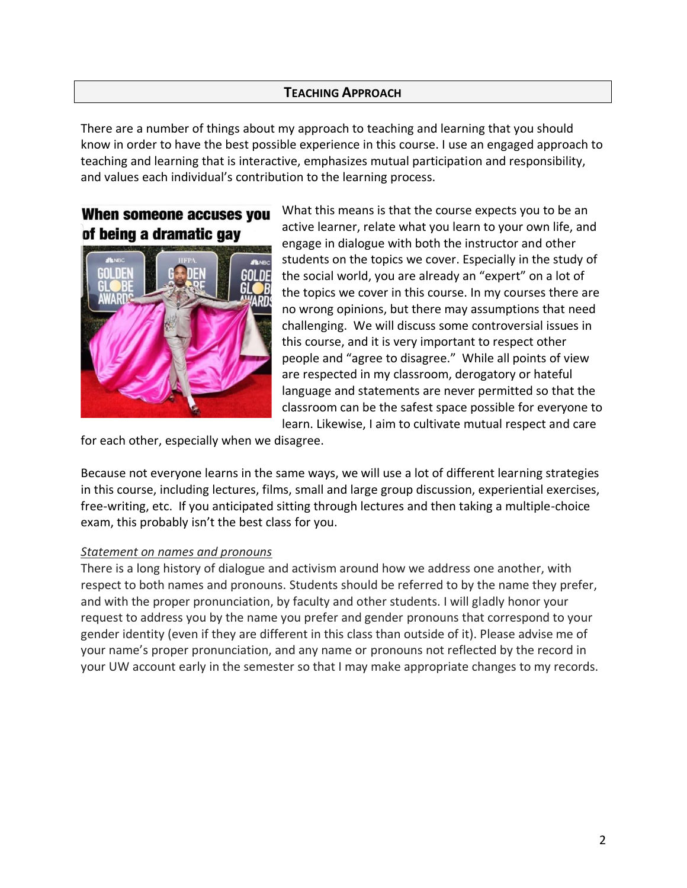# **TEACHING APPROACH**

There are a number of things about my approach to teaching and learning that you should know in order to have the best possible experience in this course. I use an engaged approach to teaching and learning that is interactive, emphasizes mutual participation and responsibility, and values each individual's contribution to the learning process.

# When someone accuses you of being a dramatic gay



What this means is that the course expects you to be an active learner, relate what you learn to your own life, and engage in dialogue with both the instructor and other students on the topics we cover. Especially in the study of the social world, you are already an "expert" on a lot of the topics we cover in this course. In my courses there are no wrong opinions, but there may assumptions that need challenging. We will discuss some controversial issues in this course, and it is very important to respect other people and "agree to disagree." While all points of view are respected in my classroom, derogatory or hateful language and statements are never permitted so that the classroom can be the safest space possible for everyone to learn. Likewise, I aim to cultivate mutual respect and care

for each other, especially when we disagree.

Because not everyone learns in the same ways, we will use a lot of different learning strategies in this course, including lectures, films, small and large group discussion, experiential exercises, free-writing, etc. If you anticipated sitting through lectures and then taking a multiple-choice exam, this probably isn't the best class for you.

### *Statement on names and pronouns*

There is a long history of dialogue and activism around how we address one another, with respect to both names and pronouns. Students should be referred to by the name they prefer, and with the proper pronunciation, by faculty and other students. I will gladly honor your request to address you by the name you prefer and gender pronouns that correspond to your gender identity (even if they are different in this class than outside of it). Please advise me of your name's proper pronunciation, and any name or pronouns not reflected by the record in your UW account early in the semester so that I may make appropriate changes to my records.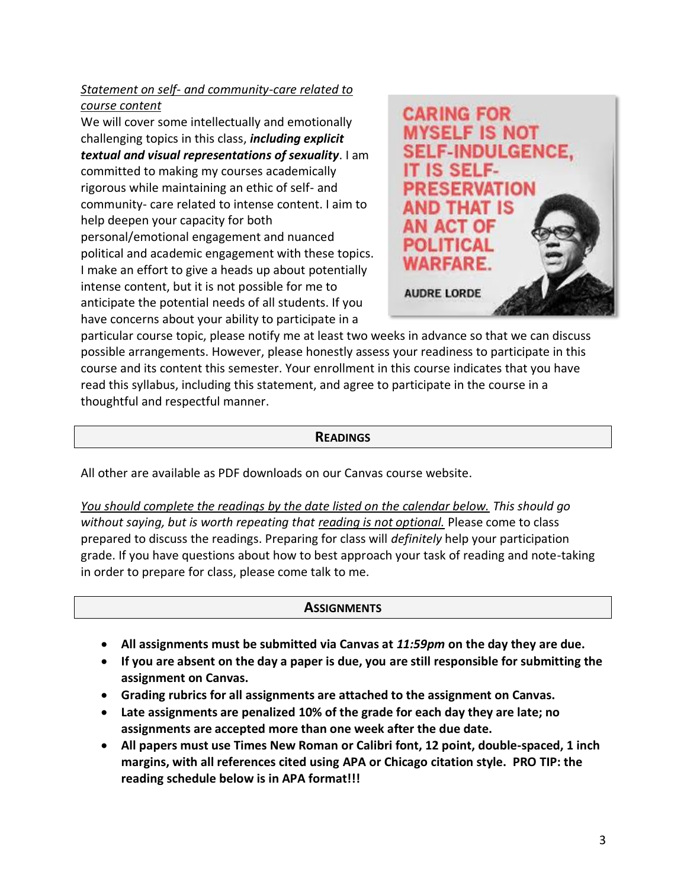# *Statement on self- and community-care related to course content*

We will cover some intellectually and emotionally challenging topics in this class, *including explicit textual and visual representations of sexuality*. I am committed to making my courses academically rigorous while maintaining an ethic of self- and community- care related to intense content. I aim to help deepen your capacity for both personal/emotional engagement and nuanced political and academic engagement with these topics. I make an effort to give a heads up about potentially intense content, but it is not possible for me to anticipate the potential needs of all students. If you have concerns about your ability to participate in a



particular course topic, please notify me at least two weeks in advance so that we can discuss possible arrangements. However, please honestly assess your readiness to participate in this course and its content this semester. Your enrollment in this course indicates that you have read this syllabus, including this statement, and agree to participate in the course in a thoughtful and respectful manner.

### **READINGS**

All other are available as PDF downloads on our Canvas course website.

*You should complete the readings by the date listed on the calendar below. This should go without saying, but is worth repeating that reading is not optional.* Please come to class prepared to discuss the readings. Preparing for class will *definitely* help your participation grade. If you have questions about how to best approach your task of reading and note-taking in order to prepare for class, please come talk to me.

### **ASSIGNMENTS**

- **All assignments must be submitted via Canvas at** *11:59pm* **on the day they are due.**
- **If you are absent on the day a paper is due, you are still responsible for submitting the assignment on Canvas.**
- **Grading rubrics for all assignments are attached to the assignment on Canvas.**
- **Late assignments are penalized 10% of the grade for each day they are late; no assignments are accepted more than one week after the due date.**
- **All papers must use Times New Roman or Calibri font, 12 point, double-spaced, 1 inch margins, with all references cited using APA or Chicago citation style. PRO TIP: the reading schedule below is in APA format!!!**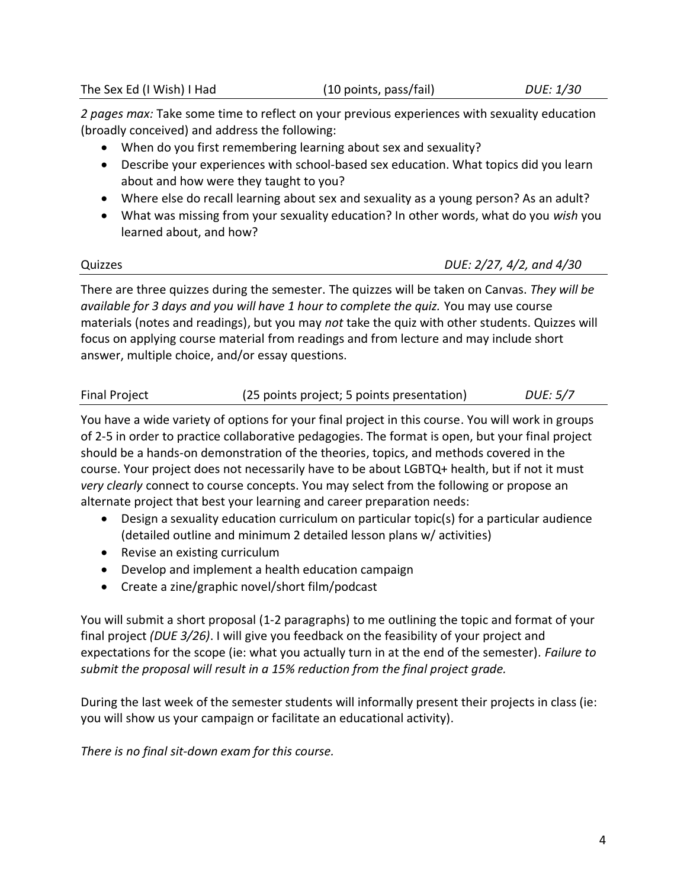# The Sex Ed (I Wish) I Had (10 points, pass/fail) *DUE: 1/30*

*2 pages max:* Take some time to reflect on your previous experiences with sexuality education (broadly conceived) and address the following:

- When do you first remembering learning about sex and sexuality?
- Describe your experiences with school-based sex education. What topics did you learn about and how were they taught to you?
- Where else do recall learning about sex and sexuality as a young person? As an adult?
- What was missing from your sexuality education? In other words, what do you *wish* you learned about, and how?

Quizzes *DUE: 2/27, 4/2, and 4/30*

There are three quizzes during the semester. The quizzes will be taken on Canvas. *They will be available for 3 days and you will have 1 hour to complete the quiz.* You may use course materials (notes and readings), but you may *not* take the quiz with other students. Quizzes will focus on applying course material from readings and from lecture and may include short answer, multiple choice, and/or essay questions.

| <b>Final Project</b> | (25 points project; 5 points presentation) | DUE: 5/7 |
|----------------------|--------------------------------------------|----------|
|----------------------|--------------------------------------------|----------|

You have a wide variety of options for your final project in this course. You will work in groups of 2-5 in order to practice collaborative pedagogies. The format is open, but your final project should be a hands-on demonstration of the theories, topics, and methods covered in the course. Your project does not necessarily have to be about LGBTQ+ health, but if not it must *very clearly* connect to course concepts. You may select from the following or propose an alternate project that best your learning and career preparation needs:

- Design a sexuality education curriculum on particular topic(s) for a particular audience (detailed outline and minimum 2 detailed lesson plans w/ activities)
- Revise an existing curriculum
- Develop and implement a health education campaign
- Create a zine/graphic novel/short film/podcast

You will submit a short proposal (1-2 paragraphs) to me outlining the topic and format of your final project *(DUE 3/26)*. I will give you feedback on the feasibility of your project and expectations for the scope (ie: what you actually turn in at the end of the semester). *Failure to submit the proposal will result in a 15% reduction from the final project grade.*

During the last week of the semester students will informally present their projects in class (ie: you will show us your campaign or facilitate an educational activity).

*There is no final sit-down exam for this course.*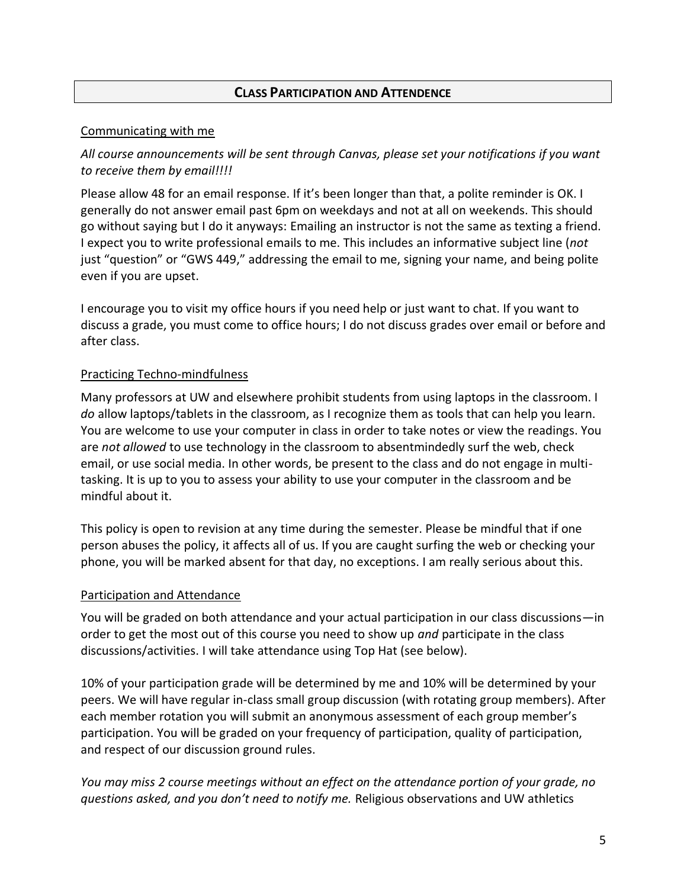# **CLASS PARTICIPATION AND ATTENDENCE**

### Communicating with me

# *All course announcements will be sent through Canvas, please set your notifications if you want to receive them by email!!!!*

Please allow 48 for an email response. If it's been longer than that, a polite reminder is OK. I generally do not answer email past 6pm on weekdays and not at all on weekends. This should go without saying but I do it anyways: Emailing an instructor is not the same as texting a friend. I expect you to write professional emails to me. This includes an informative subject line (*not* just "question" or "GWS 449," addressing the email to me, signing your name, and being polite even if you are upset.

I encourage you to visit my office hours if you need help or just want to chat. If you want to discuss a grade, you must come to office hours; I do not discuss grades over email or before and after class.

### Practicing Techno-mindfulness

Many professors at UW and elsewhere prohibit students from using laptops in the classroom. I *do* allow laptops/tablets in the classroom, as I recognize them as tools that can help you learn. You are welcome to use your computer in class in order to take notes or view the readings. You are *not allowed* to use technology in the classroom to absentmindedly surf the web, check email, or use social media. In other words, be present to the class and do not engage in multitasking. It is up to you to assess your ability to use your computer in the classroom and be mindful about it.

This policy is open to revision at any time during the semester. Please be mindful that if one person abuses the policy, it affects all of us. If you are caught surfing the web or checking your phone, you will be marked absent for that day, no exceptions. I am really serious about this.

# Participation and Attendance

You will be graded on both attendance and your actual participation in our class discussions—in order to get the most out of this course you need to show up *and* participate in the class discussions/activities. I will take attendance using Top Hat (see below).

10% of your participation grade will be determined by me and 10% will be determined by your peers. We will have regular in-class small group discussion (with rotating group members). After each member rotation you will submit an anonymous assessment of each group member's participation. You will be graded on your frequency of participation, quality of participation, and respect of our discussion ground rules.

*You may miss 2 course meetings without an effect on the attendance portion of your grade, no questions asked, and you don't need to notify me.* Religious observations and UW athletics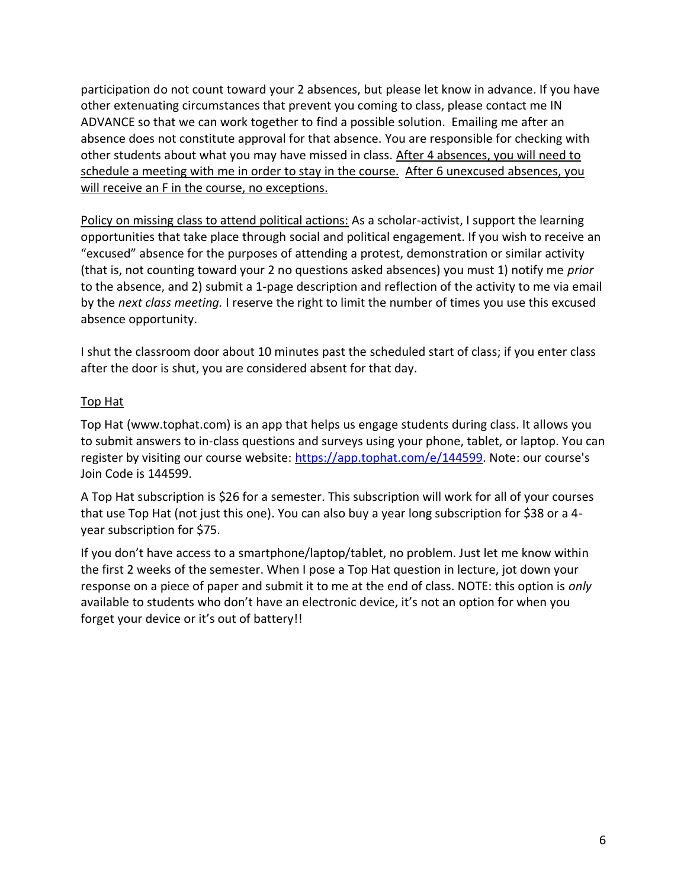participation do not count toward your 2 absences, but please let know in advance. If you have other extenuating circumstances that prevent you coming to class, please contact me IN ADVANCE so that we can work together to find a possible solution. Emailing me after an absence does not constitute approval for that absence. You are responsible for checking with other students about what you may have missed in class. After 4 absences, you will need to schedule a meeting with me in order to stay in the course. After 6 unexcused absences, you will receive an F in the course, no exceptions.

Policy on missing class to attend political actions: As a scholar-activist, I support the learning opportunities that take place through social and political engagement. If you wish to receive an "excused" absence for the purposes of attending a protest, demonstration or similar activity (that is, not counting toward your 2 no questions asked absences) you must 1) notify me *prior* to the absence, and 2) submit a 1-page description and reflection of the activity to me via email by the *next class meeting.* I reserve the right to limit the number of times you use this excused absence opportunity.

I shut the classroom door about 10 minutes past the scheduled start of class; if you enter class after the door is shut, you are considered absent for that day.

# Top Hat

Top Hat (www.tophat.com) is an app that helps us engage students during class. It allows you to submit answers to in-class questions and surveys using your phone, tablet, or laptop. You can register by visiting our course website[: https://app.tophat.com/e/144599.](https://app.tophat.com/e/144599) Note: our course's Join Code is 144599.

A Top Hat subscription is \$26 for a semester. This subscription will work for all of your courses that use Top Hat (not just this one). You can also buy a year long subscription for \$38 or a 4 year subscription for \$75.

If you don't have access to a smartphone/laptop/tablet, no problem. Just let me know within the first 2 weeks of the semester. When I pose a Top Hat question in lecture, jot down your response on a piece of paper and submit it to me at the end of class. NOTE: this option is *only* available to students who don't have an electronic device, it's not an option for when you forget your device or it's out of battery!!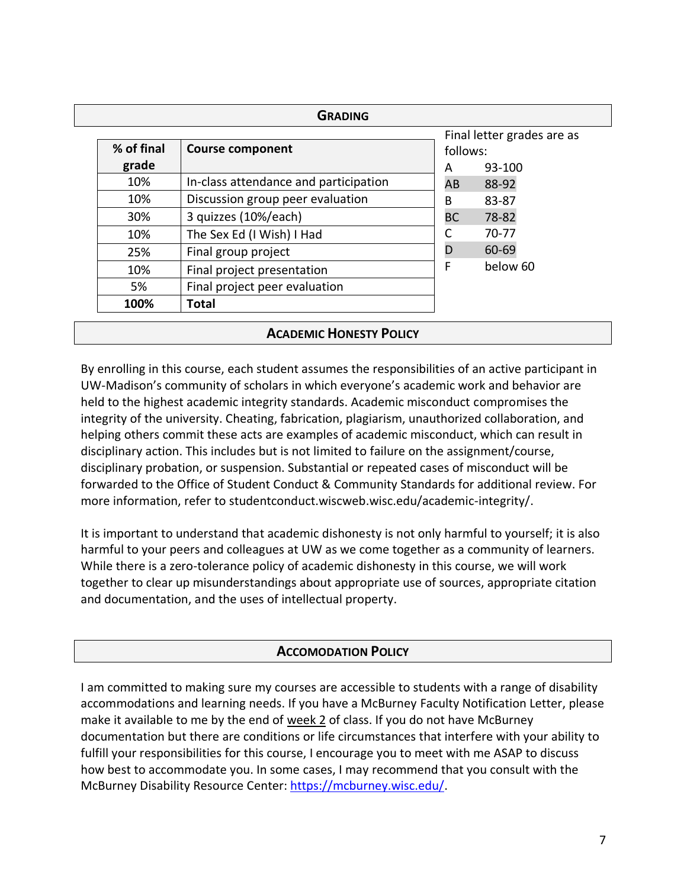| % of final | <b>Course component</b>               | follows:  | Final letter grades are as |
|------------|---------------------------------------|-----------|----------------------------|
| grade      |                                       | A         | 93-100                     |
| 10%        | In-class attendance and participation | AB        | 88-92                      |
| 10%        | Discussion group peer evaluation      | B         | 83-87                      |
| 30%        | 3 quizzes (10%/each)                  | <b>BC</b> | 78-82                      |
| 10%        | The Sex Ed (I Wish) I Had             |           | 70-77                      |
| 25%        | Final group project                   | D         | 60-69                      |
| 10%        | Final project presentation            | F         | below 60                   |
| 5%         | Final project peer evaluation         |           |                            |
| 100%       | <b>Total</b>                          |           |                            |

# **ACADEMIC HONESTY POLICY**

By enrolling in this course, each student assumes the responsibilities of an active participant in UW-Madison's community of scholars in which everyone's academic work and behavior are held to the highest academic integrity standards. Academic misconduct compromises the integrity of the university. Cheating, fabrication, plagiarism, unauthorized collaboration, and helping others commit these acts are examples of academic misconduct, which can result in disciplinary action. This includes but is not limited to failure on the assignment/course, disciplinary probation, or suspension. Substantial or repeated cases of misconduct will be forwarded to the Office of Student Conduct & Community Standards for additional review. For more information, refer to [studentconduct.wiscweb.wisc.edu/academic-integrity/.](https://conduct.students.wisc.edu/academic-integrity/)

It is important to understand that academic dishonesty is not only harmful to yourself; it is also harmful to your peers and colleagues at UW as we come together as a community of learners. While there is a zero-tolerance policy of academic dishonesty in this course, we will work together to clear up misunderstandings about appropriate use of sources, appropriate citation and documentation, and the uses of intellectual property.

# **ACCOMODATION POLICY**

I am committed to making sure my courses are accessible to students with a range of disability accommodations and learning needs. If you have a McBurney Faculty Notification Letter, please make it available to me by the end of week 2 of class. If you do not have McBurney documentation but there are conditions or life circumstances that interfere with your ability to fulfill your responsibilities for this course, I encourage you to meet with me ASAP to discuss how best to accommodate you. In some cases, I may recommend that you consult with the McBurney Disability Resource Center[: https://mcburney.wisc.edu/.](https://mcburney.wisc.edu/)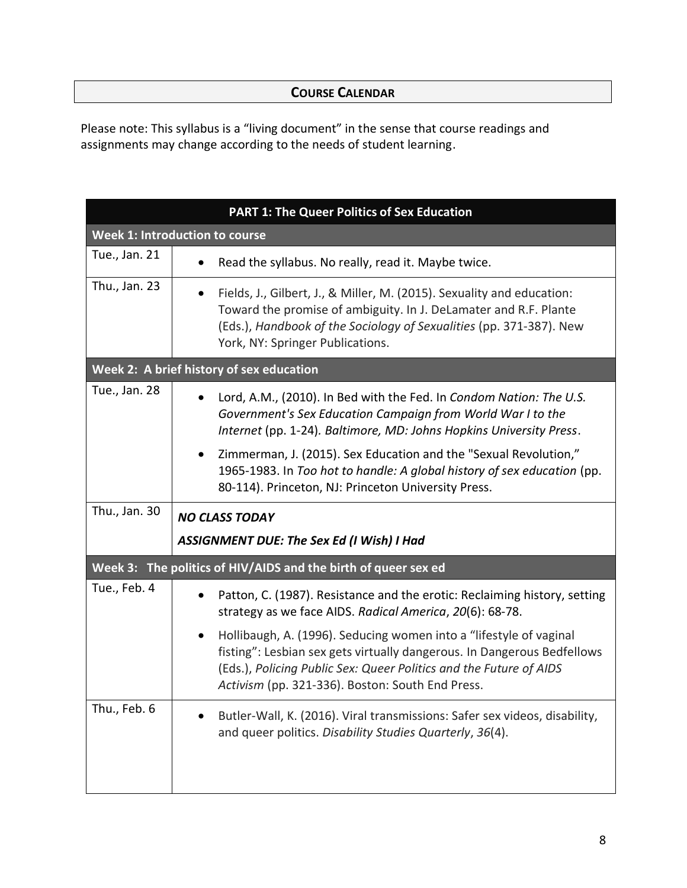# **COURSE CALENDAR**

Please note: This syllabus is a "living document" in the sense that course readings and assignments may change according to the needs of student learning.

| <b>PART 1: The Queer Politics of Sex Education</b>                                                                                                                                                                                                                      |  |
|-------------------------------------------------------------------------------------------------------------------------------------------------------------------------------------------------------------------------------------------------------------------------|--|
| <b>Week 1: Introduction to course</b>                                                                                                                                                                                                                                   |  |
| Read the syllabus. No really, read it. Maybe twice.                                                                                                                                                                                                                     |  |
| Fields, J., Gilbert, J., & Miller, M. (2015). Sexuality and education:<br>Toward the promise of ambiguity. In J. DeLamater and R.F. Plante<br>(Eds.), Handbook of the Sociology of Sexualities (pp. 371-387). New<br>York, NY: Springer Publications.                   |  |
| Week 2: A brief history of sex education                                                                                                                                                                                                                                |  |
| Lord, A.M., (2010). In Bed with the Fed. In Condom Nation: The U.S.<br>Government's Sex Education Campaign from World War I to the<br>Internet (pp. 1-24). Baltimore, MD: Johns Hopkins University Press.                                                               |  |
| Zimmerman, J. (2015). Sex Education and the "Sexual Revolution,"<br>$\bullet$<br>1965-1983. In Too hot to handle: A global history of sex education (pp.<br>80-114). Princeton, NJ: Princeton University Press.                                                         |  |
| <b>NO CLASS TODAY</b>                                                                                                                                                                                                                                                   |  |
| <b>ASSIGNMENT DUE: The Sex Ed (I Wish) I Had</b>                                                                                                                                                                                                                        |  |
| Week 3: The politics of HIV/AIDS and the birth of queer sex ed                                                                                                                                                                                                          |  |
| Patton, C. (1987). Resistance and the erotic: Reclaiming history, setting<br>strategy as we face AIDS. Radical America, 20(6): 68-78.                                                                                                                                   |  |
| Hollibaugh, A. (1996). Seducing women into a "lifestyle of vaginal<br>fisting": Lesbian sex gets virtually dangerous. In Dangerous Bedfellows<br>(Eds.), Policing Public Sex: Queer Politics and the Future of AIDS<br>Activism (pp. 321-336). Boston: South End Press. |  |
| Butler-Wall, K. (2016). Viral transmissions: Safer sex videos, disability,<br>and queer politics. Disability Studies Quarterly, 36(4).                                                                                                                                  |  |
|                                                                                                                                                                                                                                                                         |  |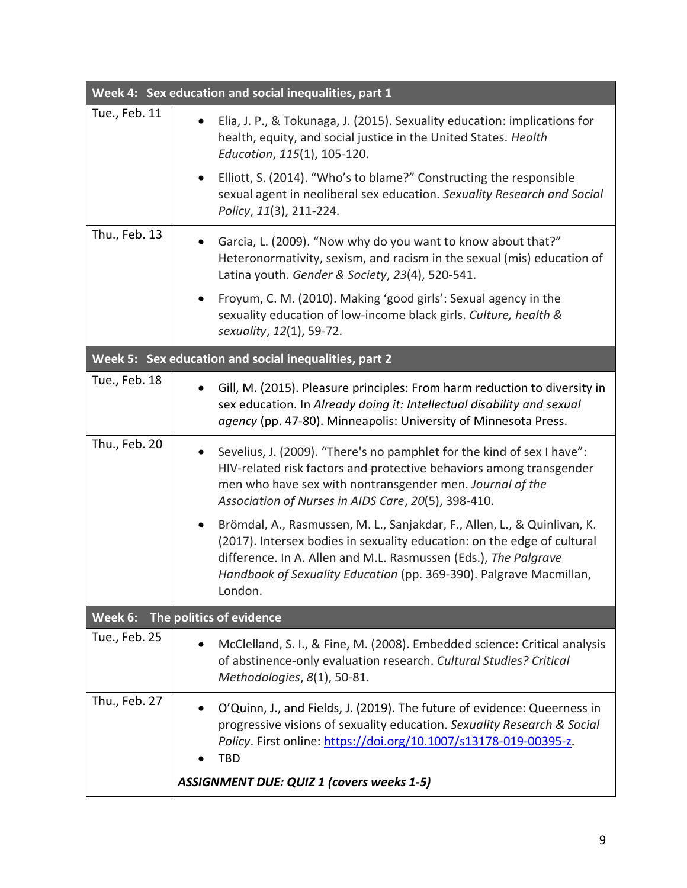|               | Week 4: Sex education and social inequalities, part 1                                                                                                                                                                                                                                                                |
|---------------|----------------------------------------------------------------------------------------------------------------------------------------------------------------------------------------------------------------------------------------------------------------------------------------------------------------------|
| Tue., Feb. 11 | Elia, J. P., & Tokunaga, J. (2015). Sexuality education: implications for<br>health, equity, and social justice in the United States. Health<br>Education, 115(1), 105-120.                                                                                                                                          |
|               | Elliott, S. (2014). "Who's to blame?" Constructing the responsible<br>sexual agent in neoliberal sex education. Sexuality Research and Social<br>Policy, 11(3), 211-224.                                                                                                                                             |
| Thu., Feb. 13 | Garcia, L. (2009). "Now why do you want to know about that?"<br>Heteronormativity, sexism, and racism in the sexual (mis) education of<br>Latina youth. Gender & Society, 23(4), 520-541.                                                                                                                            |
|               | Froyum, C. M. (2010). Making 'good girls': Sexual agency in the<br>$\bullet$<br>sexuality education of low-income black girls. Culture, health &<br>sexuality, 12(1), 59-72.                                                                                                                                         |
|               | Week 5: Sex education and social inequalities, part 2                                                                                                                                                                                                                                                                |
| Tue., Feb. 18 | Gill, M. (2015). Pleasure principles: From harm reduction to diversity in<br>$\bullet$<br>sex education. In Already doing it: Intellectual disability and sexual<br>agency (pp. 47-80). Minneapolis: University of Minnesota Press.                                                                                  |
| Thu., Feb. 20 | Sevelius, J. (2009). "There's no pamphlet for the kind of sex I have":<br>$\bullet$<br>HIV-related risk factors and protective behaviors among transgender<br>men who have sex with nontransgender men. Journal of the<br>Association of Nurses in AIDS Care, 20(5), 398-410.                                        |
|               | Brömdal, A., Rasmussen, M. L., Sanjakdar, F., Allen, L., & Quinlivan, K.<br>$\bullet$<br>(2017). Intersex bodies in sexuality education: on the edge of cultural<br>difference. In A. Allen and M.L. Rasmussen (Eds.), The Palgrave<br>Handbook of Sexuality Education (pp. 369-390). Palgrave Macmillan,<br>London. |
| Week 6:       | The politics of evidence                                                                                                                                                                                                                                                                                             |
| Tue., Feb. 25 | McClelland, S. I., & Fine, M. (2008). Embedded science: Critical analysis<br>$\bullet$<br>of abstinence-only evaluation research. Cultural Studies? Critical<br>Methodologies, 8(1), 50-81.                                                                                                                          |
| Thu., Feb. 27 | O'Quinn, J., and Fields, J. (2019). The future of evidence: Queerness in<br>progressive visions of sexuality education. Sexuality Research & Social<br>Policy. First online: https://doi.org/10.1007/s13178-019-00395-z.<br><b>TBD</b>                                                                               |
|               | <b>ASSIGNMENT DUE: QUIZ 1 (covers weeks 1-5)</b>                                                                                                                                                                                                                                                                     |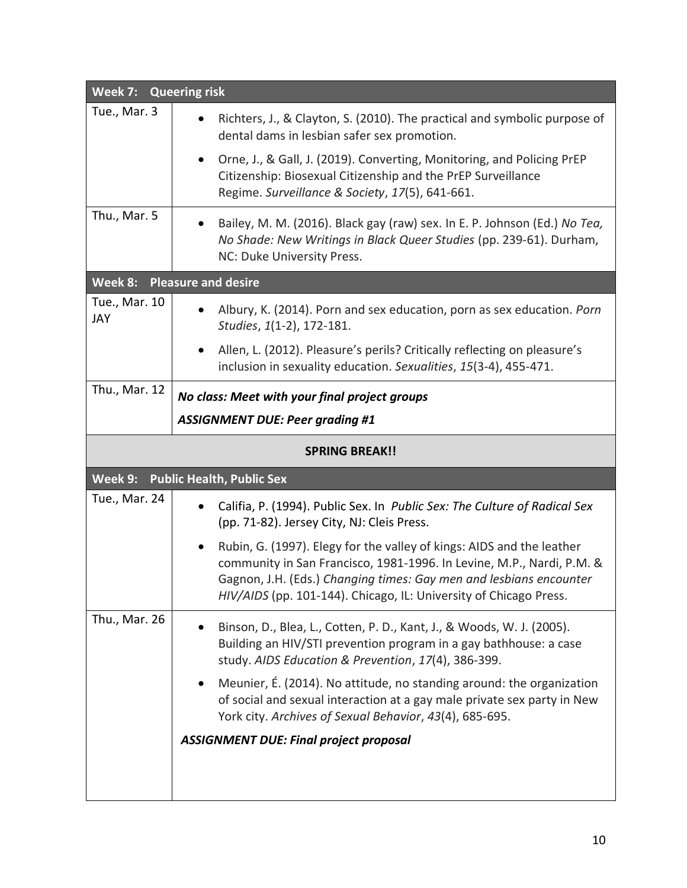| Week 7: Queering risk |                                                                                                                                                                                                                                                                                           |
|-----------------------|-------------------------------------------------------------------------------------------------------------------------------------------------------------------------------------------------------------------------------------------------------------------------------------------|
| Tue., Mar. 3          | Richters, J., & Clayton, S. (2010). The practical and symbolic purpose of<br>$\bullet$<br>dental dams in lesbian safer sex promotion.                                                                                                                                                     |
|                       | Orne, J., & Gall, J. (2019). Converting, Monitoring, and Policing PrEP<br>$\bullet$<br>Citizenship: Biosexual Citizenship and the PrEP Surveillance<br>Regime. Surveillance & Society, 17(5), 641-661.                                                                                    |
| Thu., Mar. 5          | Bailey, M. M. (2016). Black gay (raw) sex. In E. P. Johnson (Ed.) No Tea,<br>No Shade: New Writings in Black Queer Studies (pp. 239-61). Durham,<br>NC: Duke University Press.                                                                                                            |
| Week 8:               | <b>Pleasure and desire</b>                                                                                                                                                                                                                                                                |
| Tue., Mar. 10<br>JAY  | Albury, K. (2014). Porn and sex education, porn as sex education. Porn<br>$\bullet$<br>Studies, 1(1-2), 172-181.                                                                                                                                                                          |
|                       | Allen, L. (2012). Pleasure's perils? Critically reflecting on pleasure's<br>٠<br>inclusion in sexuality education. Sexualities, 15(3-4), 455-471.                                                                                                                                         |
| Thu., Mar. 12         | No class: Meet with your final project groups                                                                                                                                                                                                                                             |
|                       | <b>ASSIGNMENT DUE: Peer grading #1</b>                                                                                                                                                                                                                                                    |
| <b>SPRING BREAK!!</b> |                                                                                                                                                                                                                                                                                           |
| Week 9:               | <b>Public Health, Public Sex</b>                                                                                                                                                                                                                                                          |
| Tue., Mar. 24         | Califia, P. (1994). Public Sex. In Public Sex: The Culture of Radical Sex<br>(pp. 71-82). Jersey City, NJ: Cleis Press.                                                                                                                                                                   |
|                       | Rubin, G. (1997). Elegy for the valley of kings: AIDS and the leather<br>community in San Francisco, 1981-1996. In Levine, M.P., Nardi, P.M. &<br>Gagnon, J.H. (Eds.) Changing times: Gay men and lesbians encounter<br>HIV/AIDS (pp. 101-144). Chicago, IL: University of Chicago Press. |
| Thu., Mar. 26         | Binson, D., Blea, L., Cotten, P. D., Kant, J., & Woods, W. J. (2005).<br>Building an HIV/STI prevention program in a gay bathhouse: a case<br>study. AIDS Education & Prevention, 17(4), 386-399.                                                                                         |
|                       | Meunier, É. (2014). No attitude, no standing around: the organization<br>of social and sexual interaction at a gay male private sex party in New<br>York city. Archives of Sexual Behavior, 43(4), 685-695.                                                                               |
|                       | <b>ASSIGNMENT DUE: Final project proposal</b>                                                                                                                                                                                                                                             |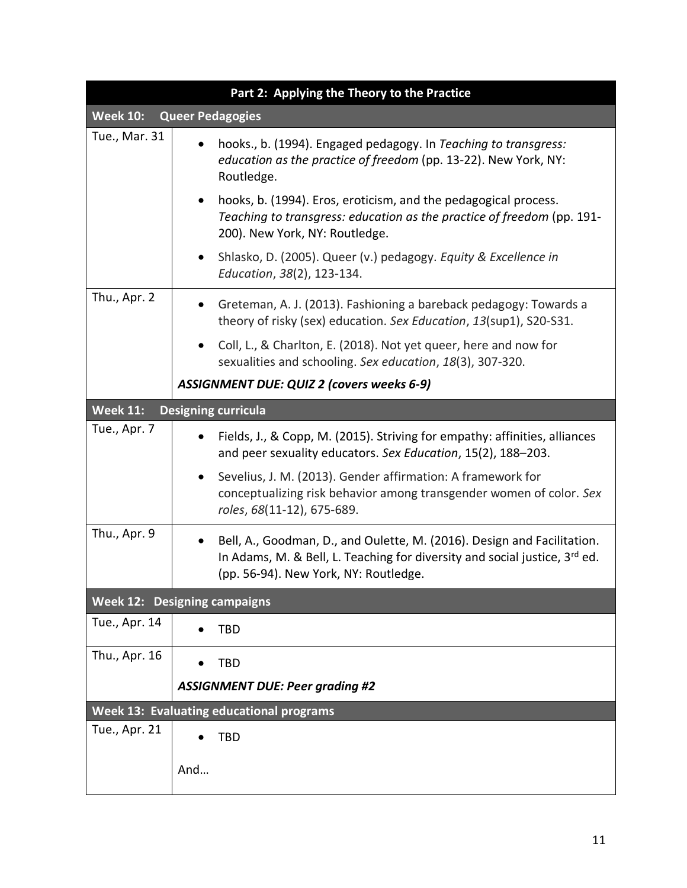|                                            | Part 2: Applying the Theory to the Practice                                                                                                                                                         |
|--------------------------------------------|-----------------------------------------------------------------------------------------------------------------------------------------------------------------------------------------------------|
| <b>Week 10:</b><br><b>Queer Pedagogies</b> |                                                                                                                                                                                                     |
| Tue., Mar. 31                              | hooks., b. (1994). Engaged pedagogy. In Teaching to transgress:<br>education as the practice of freedom (pp. 13-22). New York, NY:<br>Routledge.                                                    |
|                                            | hooks, b. (1994). Eros, eroticism, and the pedagogical process.<br>$\bullet$<br>Teaching to transgress: education as the practice of freedom (pp. 191-<br>200). New York, NY: Routledge.            |
|                                            | Shlasko, D. (2005). Queer (v.) pedagogy. Equity & Excellence in<br>٠<br>Education, 38(2), 123-134.                                                                                                  |
| Thu., Apr. 2                               | Greteman, A. J. (2013). Fashioning a bareback pedagogy: Towards a<br>theory of risky (sex) education. Sex Education, 13(sup1), S20-S31.                                                             |
|                                            | Coll, L., & Charlton, E. (2018). Not yet queer, here and now for<br>sexualities and schooling. Sex education, 18(3), 307-320.                                                                       |
|                                            | <b>ASSIGNMENT DUE: QUIZ 2 (covers weeks 6-9)</b>                                                                                                                                                    |
| <b>Week 11:</b>                            | <b>Designing curricula</b>                                                                                                                                                                          |
| Tue., Apr. 7                               | Fields, J., & Copp, M. (2015). Striving for empathy: affinities, alliances<br>and peer sexuality educators. Sex Education, 15(2), 188-203.                                                          |
|                                            | Sevelius, J. M. (2013). Gender affirmation: A framework for<br>٠<br>conceptualizing risk behavior among transgender women of color. Sex<br>roles, 68(11-12), 675-689.                               |
| Thu., Apr. 9                               | Bell, A., Goodman, D., and Oulette, M. (2016). Design and Facilitation.<br>In Adams, M. & Bell, L. Teaching for diversity and social justice, $3^{rd}$ ed.<br>(pp. 56-94). New York, NY: Routledge. |
|                                            | <b>Week 12: Designing campaigns</b>                                                                                                                                                                 |
| Tue., Apr. 14                              | <b>TBD</b>                                                                                                                                                                                          |
| Thu., Apr. 16                              | <b>TBD</b>                                                                                                                                                                                          |
|                                            | <b>ASSIGNMENT DUE: Peer grading #2</b>                                                                                                                                                              |
|                                            | Week 13: Evaluating educational programs                                                                                                                                                            |
| Tue., Apr. 21                              | <b>TBD</b>                                                                                                                                                                                          |
|                                            | And                                                                                                                                                                                                 |